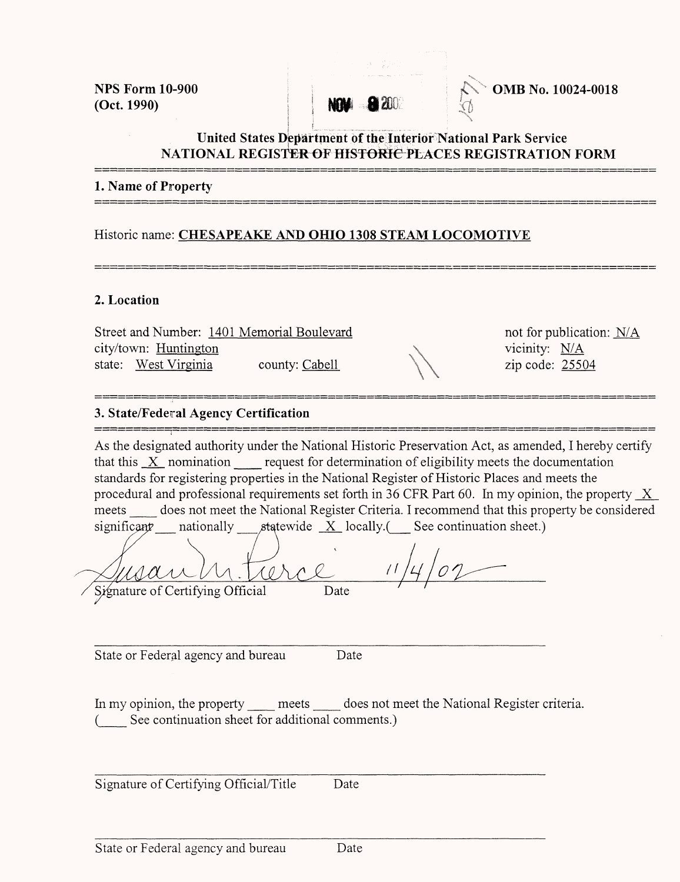(Oct. 1990)



**NPS Form 10-900 iCV <b>OMB** No. 10024-0018

### **United States Department of the Interior National Park Service NATIONAL REGISTER^F HfSTOffifte PLACES REGISTRATION FORM**

#### **1. Name of Property**

Historic name: **CHESAPEAKE AND OHIO 1308 STEAM LOCOMOTIVE**

#### **2. Location**

Street and Number: 1401 Memorial Boulevard not for publication: N/A city/town: Huntington  $N/A$ state: <u>West Virginia</u> delter and Number. <u>1401 Memorial Bourevald</u> delter and Number. <u>Huntington</u><br>state: <u>West Virginia</u> county: <u>Cabell</u> county:  $\frac{25504}{2}$ 

### **3. State/Federal Agency Certification**

As the designated authority under the National Historic Preservation Act, as amended, I hereby certify that this  $X$  nomination request for determination of eligibility meets the documentation standards for registering properties in the National Register of Historic Places and meets the procedural and professional requirements set forth in 36 CFR Part 60. In my opinion, the property  $X$ meets does not meet the National Register Criteria. I recommend that this property be considered significant nationally statewide  $X$  locally.(See continuation sheet.)

Signature of Certifying Official Date

State or Federal agency and bureau

Date

In my opinion, the property meets does not meet the National Register criteria. (\_\_ See continuation sheet for additional comments.)

Signature of Certifying Official/Title Date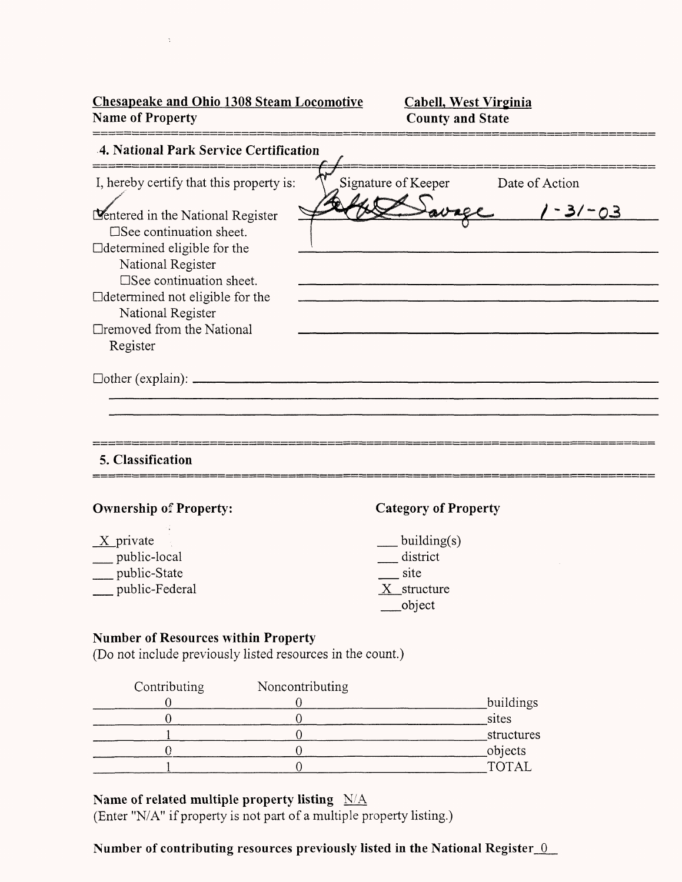**Chesapeake and Ohio 1308 Steam Locomotive Name of Property**

 $\mathcal{O}(\Delta^2)$  , where  $\mathcal{O}(\Delta^2)$  ,  $\mathcal{O}(\Delta^2)$ 

**Cabell, West Virginia County and State**

| 4. National Park Service Certification                                                                                                                                                                                                                                                                                                             |                                                                 |                            |
|----------------------------------------------------------------------------------------------------------------------------------------------------------------------------------------------------------------------------------------------------------------------------------------------------------------------------------------------------|-----------------------------------------------------------------|----------------------------|
| I, hereby certify that this property is:<br>L'entered in the National Register<br>$\square$ See continuation sheet.<br>□determined eligible for the<br>National Register<br>$\square$ See continuation sheet.<br>□determined not eligible for the<br>National Register<br>□removed from the National<br>Register<br>$\Box$ other (explain): $\Box$ | Signature of Keeper                                             | Date of Action<br>$-3/-03$ |
| 5. Classification                                                                                                                                                                                                                                                                                                                                  |                                                                 |                            |
| <b>Ownership of Property:</b>                                                                                                                                                                                                                                                                                                                      | <b>Category of Property</b>                                     |                            |
| $X$ private<br>public-local<br>public-State<br>public-Federal                                                                                                                                                                                                                                                                                      | $_$ building(s)<br>district<br>site<br>$X_$ structure<br>object |                            |
| <b>Number of Resources within Property</b>                                                                                                                                                                                                                                                                                                         |                                                                 |                            |

(Do not include previously listed resources in the count.)

| Contributing | Noncontributing |              |
|--------------|-----------------|--------------|
|              |                 | buildings    |
|              |                 | sites        |
|              |                 | structures   |
|              |                 | objects      |
|              |                 | <b>TOTAL</b> |

### **Name of related multiple property listing** N/A

(Enter "N/A" if property is not part of a multiple property listing.)

## **Number of contributing resources previously listed in the National Register 0**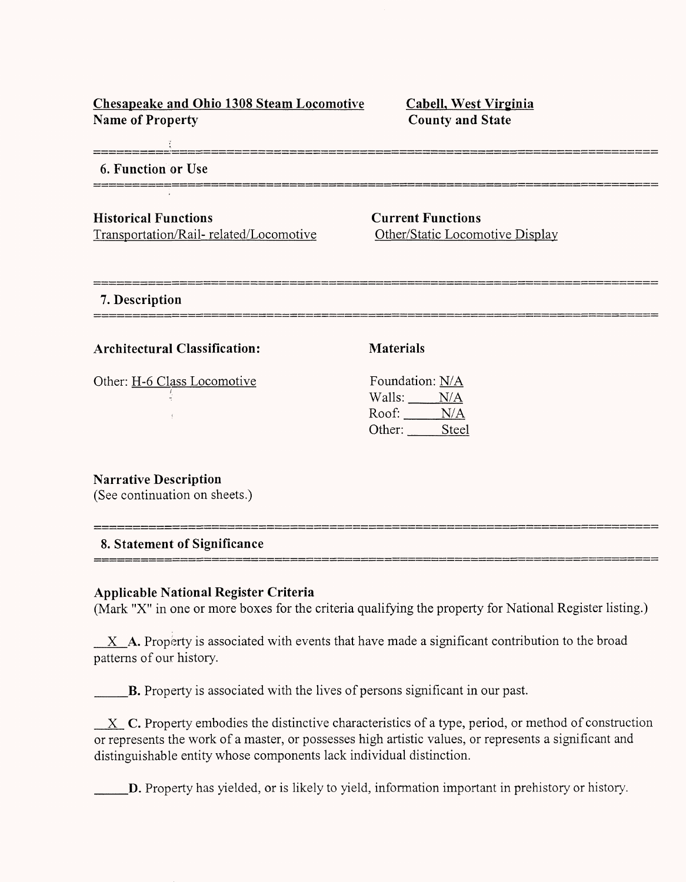| <b>Chesapeake and Ohio 1308 Steam Locomotive</b> |  |  |
|--------------------------------------------------|--|--|
| <b>Name of Property</b>                          |  |  |

**CabelL West Virginia County and State**

| 6. Function or Use                                                    |                                                             |
|-----------------------------------------------------------------------|-------------------------------------------------------------|
| <b>Historical Functions</b><br>Transportation/Rail-related/Locomotive | <b>Current Functions</b><br>Other/Static Locomotive Display |
| 7. Description<br>_____________                                       |                                                             |
| <b>Architectural Classification:</b>                                  | <b>Materials</b>                                            |
| Other: H-6 Class Locomotive                                           | Foundation: N/A<br>Walls: $N/A$<br>Roof: N/A                |

**Narrative Description** (See continuation on sheets.)

## **8. Statement of Significance**

#### **Applicable National Register Criteria**

(Mark "X" in one or more boxes for the criteria qualifying the property for National Register listing.)

 $X$   $A$ . Property is associated with events that have made a significant contribution to the broad patterns of our history.

B. Property is associated with the lives of persons significant in our past.

 $X$  C. Property embodies the distinctive characteristics of a type, period, or method of construction or represents the work of a master, or possesses high artistic values, or represents a significant and distinguishable entity whose components lack individual distinction.

\_\_\_D. Property has yielded, or is likely to yield, information important in prehistory or history.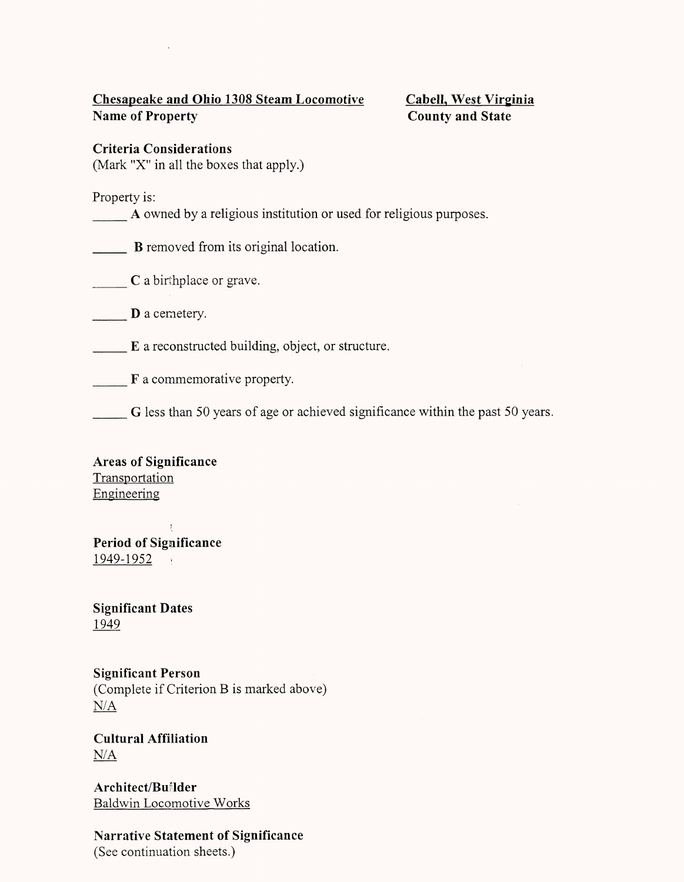### **Chesapeake and Ohio 1308 Steam Locomotive Cabeil, West Virginia Name of Property** County and State

**Criteria Considerations**

(Mark "X" in all the boxes that apply.)

Property is:

A owned by a religious institution or used for religious purposes.

**B** removed from its original location.

**C** a birthplace or grave.

**D** a cemetery.

E a reconstructed building, object, or structure.

F a commemorative property.

G less than 50 years of age or achieved significance within the past 50 years.

**Areas of Significance Transportation** Engineering

 $\mathcal{A}$ **Period of Significance** 1949-1952 .

**Significant Dates** 1949

**Significant Person** (Complete if Criterion B is marked above) N/A

**Cultural Affiliation N/A**

**Architect/Builder** Baldwin Locomotive Works

**Narrative Statement of Significance** (See continuation sheets.)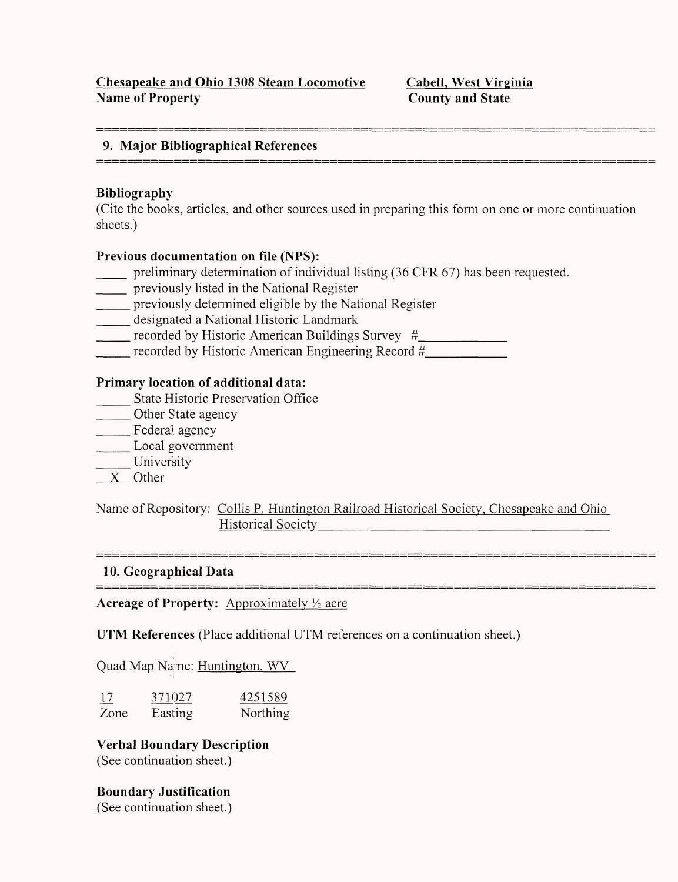.<br>2000 tanah amam kalimat mengenakan dalam penyatan dalam kalimat dalam bermula kerasa menan adalah kalimat dan

#### **9. Major Bibliographical References**

#### **Bibliography**

(Cite the books, articles, and other sources used in preparing this form on one or more continuation sheets.)

#### **Previous documentation on file** (NPS):

- preliminary determination of individual listing (36 CFR 67) has been requested.
- \_\_\_ previously listed in the National Register
- \_\_\_ previously determined eligible by the National Register
- \_\_\_ designated a National Historic Landmark
- \_\_\_ recorded by Historic American Buildings Survey *#*\_\_\_\_\_\_\_\_\_
- \_\_\_ recorded by Historic American Engineering Record *#*\_\_\_\_\_\_\_\_

#### **Primary location of additional data:**

- \_\_\_ State Historic Preservation Office
- \_\_\_ Other State agency
- \_\_\_ Federal agency
- \_\_\_ Local government
- University
- X Other

Name of Repository: Collis P. Huntington Railroad Historical Society, Chesapeake and Ohio Historical Society

#### **10. Geographical Data**  \_\_\_\_\_\_\_\_\_\_\_\_\_\_\_\_\_\_\_\_\_

Acreage of Property: Approximately <sup>1</sup>/<sub>2</sub> acre

UTM **References** (Place additional UTM references on a continuation sheet.)

Quad Map Name: Huntington, WV

| <u>17</u> | 371027  | 4251589         |
|-----------|---------|-----------------|
| Zone      | Easting | <b>Northing</b> |

# **Verbal Boundary Description**

(See continuation sheet.)

**Boundary Justification** (See continuation sheet.)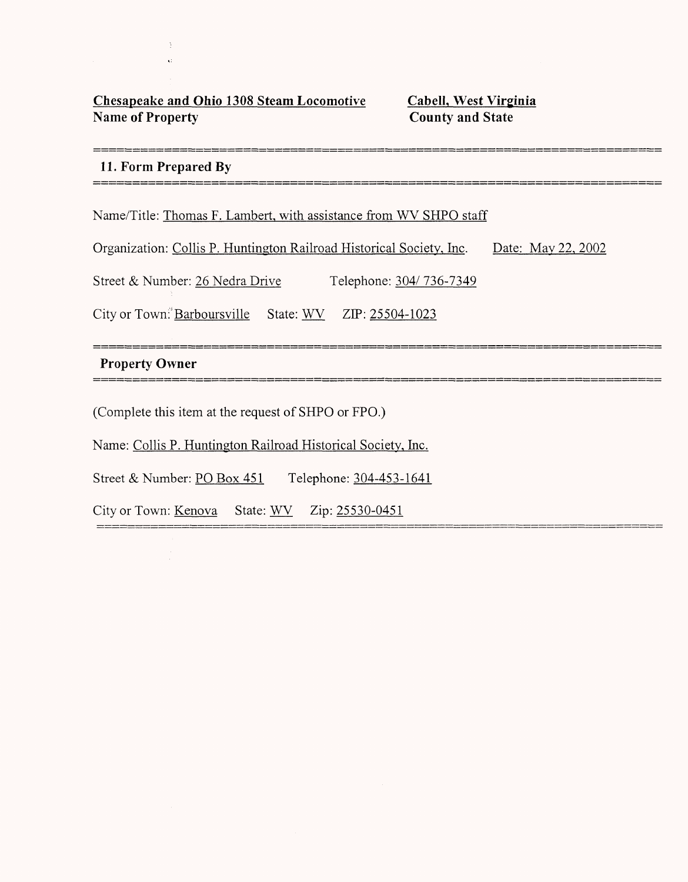### **Chesapeake and Ohio 1308 Steam Locomotive CabelL, West Virginia Name of Property** County and State

.<br>2010 - 2010 | 1022 | 2023 | 2023 | 2023 | 2023 | 2024 | 2022 | 2022 | 2023 | 2024 | 2024 | 2024 | 2024 | 2024

#### **11. Form Prepared By**

------------------

Name/Title: Thomas F. Lambert, with assistance from WV SHPO staff

Organization: Collis P. Huntington Railroad Historical Society, Inc. Date: May 22, 2002

Street & Number: 26 Nedra Drive Telephone: 304/736-7349

City or Town: Barboursville State:  $WV$  ZIP: 25504-1023

#### **Property Owner**

(Complete this item at the request of SHPO or FPO.)

Name: Collis P. Huntington Railroad Historical Society, Inc.

Street & Number: PO Box 451 Telephone: 304-453-1641

City or Town: Kenova State: WV Zip: 25530-0451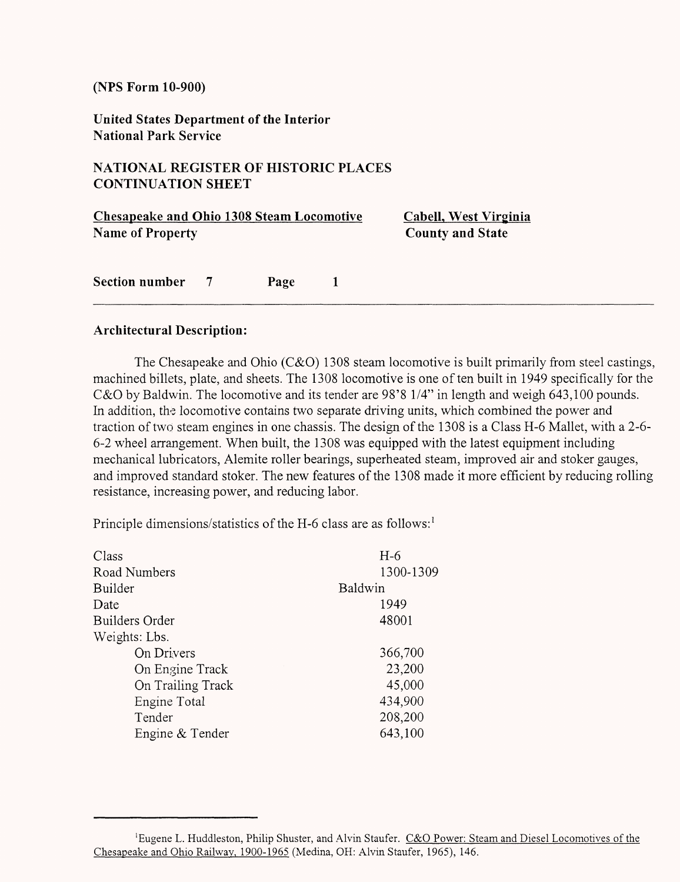**United States Department of the Interior National Park Service**

### **NATIONAL REGISTER OF HISTORIC PLACES CONTINUATION SHEET**

| <b>Chesapeake and Ohio 1308 Steam Locomotive</b><br><b>Name of Property</b> |                |      | Cabell, West Virginia<br><b>County and State</b> |
|-----------------------------------------------------------------------------|----------------|------|--------------------------------------------------|
| <b>Section number</b>                                                       | $\overline{7}$ | Page |                                                  |

#### **Architectural Description:**

The Chesapeake and Ohio (C&O) 1308 steam locomotive is built primarily from steel castings, machined billets, plate, and sheets. The 1308 locomotive is one of ten built in 1949 specifically for the C&O by Baldwin. The locomotive and its tender are 98'8 1/4" in length and weigh 643,100 pounds. In addition, the locomotive contains two separate driving units, which combined the power and traction of two steam engines in one chassis. The design of the 1308 is a Class H-6 Mallet, with a 2-6- 6-2 wheel arrangement. When built, the 1308 was equipped with the latest equipment including mechanical lubricators, Alemite roller bearings, superheated steam, improved air and stoker gauges, and improved standard stoker. The new features of the 1308 made it more efficient by reducing rolling resistance, increasing power, and reducing labor.

Principle dimensions/statistics of the H-6 class are as follows:<sup>1</sup>

| $H-6$     |
|-----------|
| 1300-1309 |
| Baldwin   |
| 1949      |
| 48001     |
|           |
| 366,700   |
| 23,200    |
| 45,000    |
| 434,900   |
| 208,200   |
| 643,100   |
|           |

<sup>&#</sup>x27;Eugene L. Huddleston, Philip Shuster, and Alvin Staufer. C&Q Power: Steam and Diesel Locomotives of the Chesapeake and Ohio Railway, 1900-1965 (Medina, OH: Alvin Staufer, 1965), 146.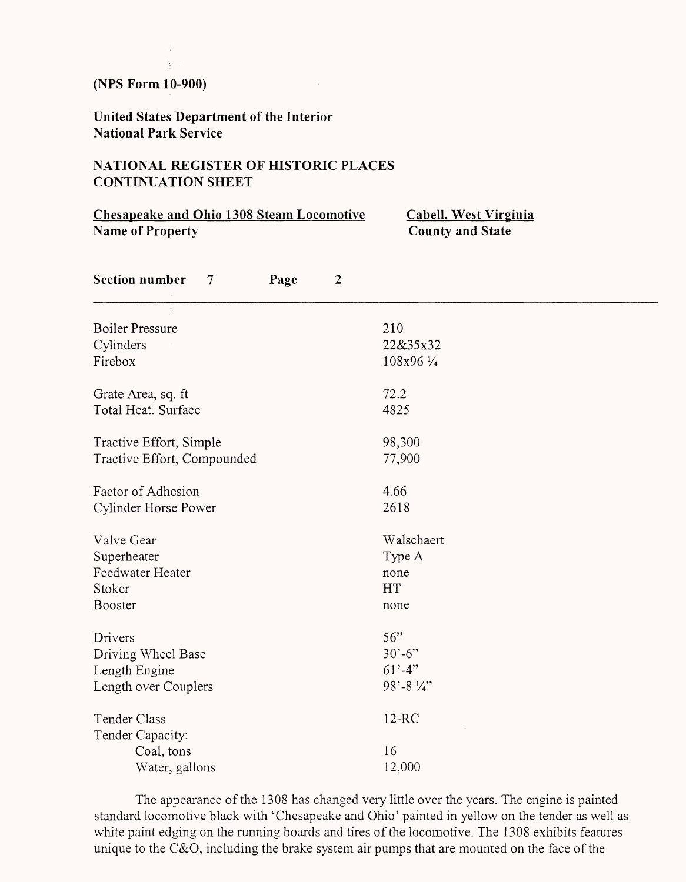ă

**United States Department of the Interior National Park Service**

### **NATIONAL REGISTER OF HISTORIC PLACES CONTINUATION SHEET**

| <b>Chesapeake and Ohio 1308 Steam Locomotive</b><br><b>Name of Property</b> |                  | <b>Cabell, West Virginia</b><br><b>County and State</b> |  |  |
|-----------------------------------------------------------------------------|------------------|---------------------------------------------------------|--|--|
| <b>Section number</b><br>Page<br>$\tau$                                     | $\boldsymbol{2}$ |                                                         |  |  |
| $\frac{1}{2}$<br><b>Boiler Pressure</b>                                     |                  | 210                                                     |  |  |
| Cylinders                                                                   |                  | 22&35x32                                                |  |  |
| Firebox                                                                     |                  | 108x96 1/4                                              |  |  |
| Grate Area, sq. ft                                                          |                  | 72.2                                                    |  |  |
| Total Heat. Surface                                                         |                  | 4825                                                    |  |  |
| Tractive Effort, Simple                                                     |                  | 98,300                                                  |  |  |
| Tractive Effort, Compounded                                                 |                  | 77,900                                                  |  |  |
| Factor of Adhesion                                                          |                  | 4.66                                                    |  |  |
| Cylinder Horse Power                                                        |                  | 2618                                                    |  |  |
| Valve Gear                                                                  |                  | Walschaert                                              |  |  |
| Superheater                                                                 |                  | Type A                                                  |  |  |
| Feedwater Heater                                                            |                  | none                                                    |  |  |
| Stoker                                                                      |                  | HT                                                      |  |  |
| <b>Booster</b>                                                              |                  | none                                                    |  |  |
| Drivers                                                                     |                  | 56"                                                     |  |  |
| Driving Wheel Base                                                          |                  | $30' - 6''$                                             |  |  |
| Length Engine                                                               |                  | $61' - 4''$                                             |  |  |
| Length over Couplers                                                        |                  | 98'-8 $\frac{1}{4}$                                     |  |  |
| Tender Class                                                                |                  | $12-RC$                                                 |  |  |
| Tender Capacity:                                                            |                  |                                                         |  |  |
| Coal, tons                                                                  |                  | 16                                                      |  |  |
| Water, gallons                                                              |                  | 12,000                                                  |  |  |

The appearance of the 1308 has changed very little over the years. The engine is painted standard locomotive black with 'Chesapeake and Ohio' painted in yellow on the tender as well as white paint edging on the running boards and tires of the locomotive. The 1308 exhibits features unique to the C&O, including the brake system air pumps that are mounted on the face of the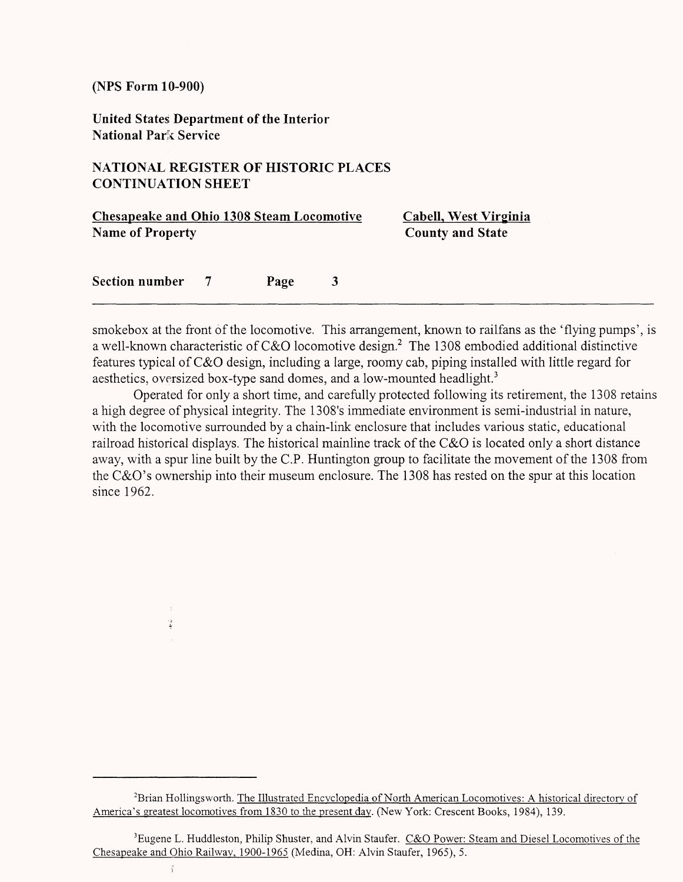$\frac{d}{2}$ 

**United States Department of the Interior National Park Service**

#### **NATIONAL REGISTER OF HISTORIC PLACES CONTINUATION SHEET**

| <b>Chesapeake and Ohio 1308 Steam Locomotive</b><br><b>Name of Property</b> |                |      |   | Cabell, West Virginia   |  |
|-----------------------------------------------------------------------------|----------------|------|---|-------------------------|--|
|                                                                             |                |      |   | <b>County and State</b> |  |
| <b>Section number</b>                                                       | $\overline{7}$ | Page | 3 |                         |  |

smokebox at the front of the locomotive. This arrangement, known to railfans as the 'flying pumps', is a well-known characteristic of C&O locomotive design.2 The 1308 embodied additional distinctive features typical of C&O design, including a large, roomy cab, piping installed with little regard for aesthetics, oversized box-type sand domes, and a low-mounted headlight.<sup>3</sup>

Operated for only a short time, and carefully protected following its retirement, the 1308 retains a high degree of physical integrity. The 1308's immediate environment is semi-industrial in nature, with the locomotive surrounded by a chain-link enclosure that includes various static, educational railroad historical displays. The historical mainline track of the C&O is located only a short distance away, with a spur line built by the C.P. Huntington group to facilitate the movement of the 1308 from the C&O's ownership into their museum enclosure. The 1308 has rested on the spur at this location since 1962.

<sup>2</sup>Brian Hollingsworth. The Illustrated Encyclopedia of North American Locomotives: A historical directory of America's greatest locomotives from 1830 to the present day. (New York: Crescent Books, 1984), 139.

<sup>&</sup>lt;sup>3</sup>Eugene L. Huddleston, Philip Shuster, and Alvin Staufer. C&O Power: Steam and Diesel Locomotives of the Chesapeake and Ohio Railway, 1900-1965 (Medina, OH: Alvin Staufer, 1965), 5.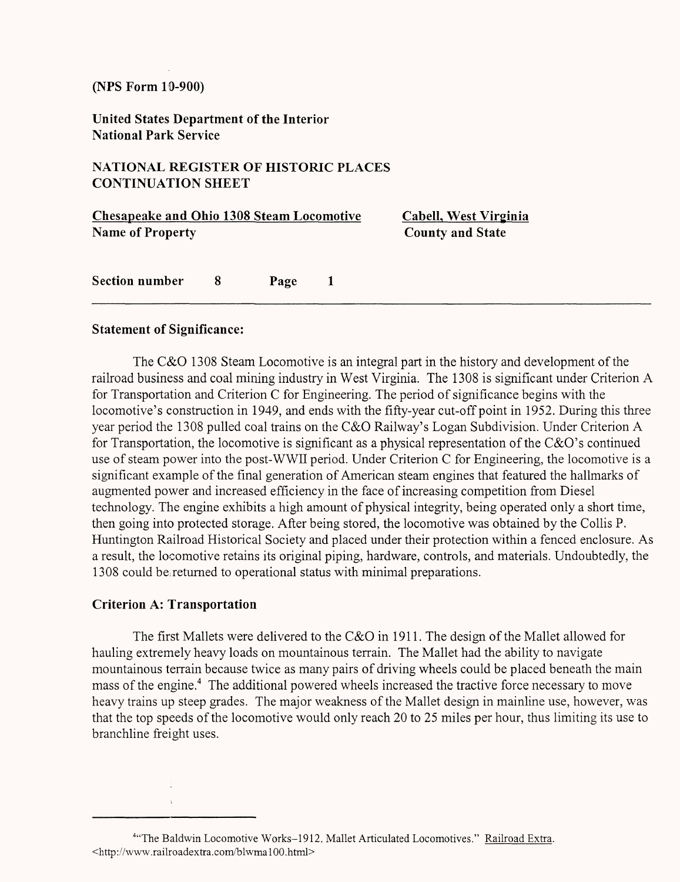**United States Department of the Interior National Park Service**

#### **NATIONAL REGISTER OF HISTORIC PLACES CONTINUATION SHEET**

| <b>Chesapeake and Ohio 1308 Steam Locomotive</b><br><b>Name of Property</b> |    |      |              | Cabell, West Virginia<br><b>County and State</b> |
|-----------------------------------------------------------------------------|----|------|--------------|--------------------------------------------------|
| <b>Section number</b>                                                       | -8 | Page | $\mathbf{1}$ |                                                  |

#### **Statement of Significance:**

The C&O 1308 Steam Locomotive is an integral part in the history and development of the railroad business and coal mining industry in West Virginia. The 1308 is significant under Criterion A for Transportation and Criterion C for Engineering. The period of significance begins with the locomotive's construction in 1949, and ends with the fifty-year cut-off point in 1952. During this three year period the 1308 pulled coal trains on the C&O Railway's Logan Subdivision. Under Criterion A for Transportation, the locomotive is significant as a physical representation of the C&O's continued use of steam power into the post-WWH period. Under Criterion C for Engineering, the locomotive is a significant example of the final generation of American steam engines that featured the hallmarks of augmented power and increased efficiency in the face of increasing competition from Diesel technology. The engine exhibits a high amount of physical integrity, being operated only a short time, then going into protected storage. After being stored, the locomotive was obtained by the Collis P. Huntington Railroad Historical Society and placed under their protection within a fenced enclosure. As a result, the locomotive retains its original piping, hardware, controls, and materials. Undoubtedly, the 1308 could be,returned to operational status with minimal preparations.

### **Criterion A: Transportation**

The first Mallets were delivered to the C&O in 1911. The design of the Mallet allowed for hauling extremely heavy loads on mountainous terrain. The Mallet had the ability to navigate mountainous terrain because twice as many pairs of driving wheels could be placed beneath the main mass of the engine.<sup>4</sup> The additional powered wheels increased the tractive force necessary to move heavy trains up steep grades. The major weakness of the Mallet design in mainline use, however, was that the top speeds of the locomotive would only reach 20 to 25 miles per hour, thus limiting its use to branchline freight uses.

<sup>&</sup>lt;sup>4</sup>"The Baldwin Locomotive Works-1912. Mallet Articulated Locomotives." Railroad Extra. <http://www.railroadextra.com/blwmalOO.html>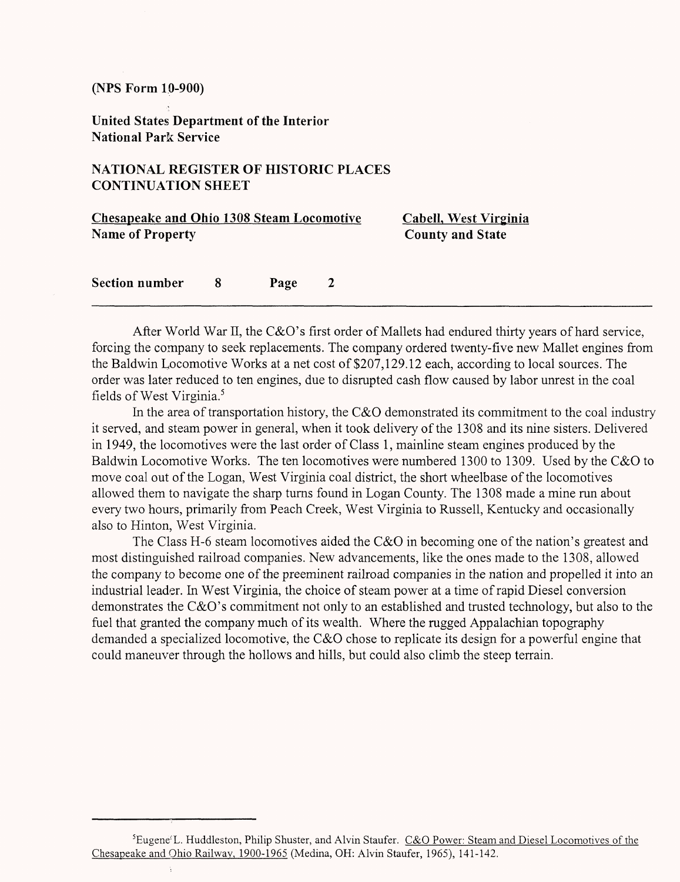**United States Department of the Interior National Park Service**

#### **NATIONAL REGISTER OF HISTORIC PLACES CONTINUATION SHEET**

| <b>Chesapeake and Ohio 1308 Steam Locomotive</b> |    |      |                         | Cabell, West Virginia |
|--------------------------------------------------|----|------|-------------------------|-----------------------|
| <b>Name of Property</b>                          |    |      | <b>County and State</b> |                       |
| Section number                                   | -8 | Page | <sup>2</sup>            |                       |
|                                                  |    |      |                         |                       |

After World War II, the C&O's first order of Mallets had endured thirty years of hard service, forcing the company to seek replacements. The company ordered twenty-five new Mallet engines from the Baldwin Locomotive Works at a net cost of \$207,129.12 each, according to local sources. The order was later reduced to ten engines, due to disrupted cash flow caused by labor unrest in the coal fields of West Virginia.<sup>5</sup>

In the area of transportation history, the C&O demonstrated its commitment to the coal industry it served, and steam power in general, when it took delivery of the 1308 and its nine sisters. Delivered in 1949, the locomotives were the last order of Class 1, mainline steam engines produced by the Baldwin Locomotive Works. The ten locomotives were numbered 1300 to 1309. Used by the C&O to move coal out of the Logan, West Virginia coal district, the short wheelbase of the locomotives allowed them to navigate the sharp turns found in Logan County. The 1308 made a mine run about every two hours, primarily from Peach Creek, West Virginia to Russell, Kentucky and occasionally also to Hinton, West Virginia.

The Class H-6 steam locomotives aided the C&O in becoming one of the nation's greatest and most distinguished railroad companies. New advancements, like the ones made to the 1308, allowed the company to become one of the preeminent railroad companies in the nation and propelled it into an industrial leader. In West Virginia, the choice of steam power at a time of rapid Diesel conversion demonstrates the C&O's commitment not only to an established and trusted technology, but also to the fuel that granted the company much of its wealth. Where the rugged Appalachian topography demanded a specialized locomotive, the C&O chose to replicate its design for a powerful engine that could maneuver through the hollows and hills, but could also climb the steep terrain.

<sup>&</sup>lt;sup>5</sup>Eugene<sup>T</sup>L. Huddleston, Philip Shuster, and Alvin Staufer. C&O Power: Steam and Diesel Locomotives of the Chesapeake and Ohio Railway, 1900-1965 (Medina, OH: Alvin Staufer, 1965), 141-142.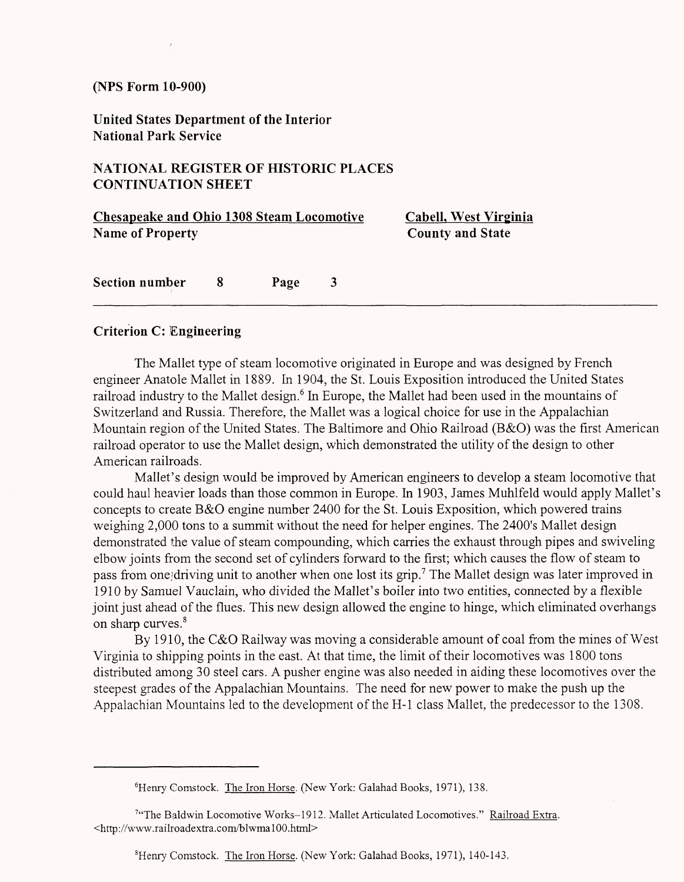**United States Department of the Interior National Park Service**

#### **NATIONAL REGISTER OF HISTORIC PLACES CONTINUATION SHEET**

| <b>Chesapeake and Ohio 1308 Steam Locomotive</b> |     |      |                         | Cabell, West Virginia   |  |
|--------------------------------------------------|-----|------|-------------------------|-------------------------|--|
| <b>Name of Property</b>                          |     |      |                         | <b>County and State</b> |  |
| Section number                                   | - 8 | Page | $\overline{\mathbf{3}}$ |                         |  |

#### **Criterion C: Engineering**

The Mallet type of steam locomotive originated in Europe and was designed by French engineer Anatole Mallet in 1889. In 1904, the St. Louis Exposition introduced the United States railroad industry to the Mallet design.<sup>6</sup> In Europe, the Mallet had been used in the mountains of Switzerland and Russia. Therefore, the Mallet was a logical choice for use in the Appalachian Mountain region of the United States. The Baltimore and Ohio Railroad (B&O) was the first American railroad operator to use the Mallet design, which demonstrated the utility of the design to other American railroads.

Mallet's design would be improved by American engineers to develop a steam locomotive that could haul heavier loads than those common in Europe. In 1903, James Muhlfeld would apply Mallet's concepts to create B&O engine number 2400 for the St. Louis Exposition, which powered trains weighing 2,000 tons to a summit without the need for helper engines. The 2400's Mallet design demonstrated the value of steam compounding, which carries the exhaust through pipes and swiveling elbow joints from the second set of cylinders forward to the first; which causes the flow of steam to pass from one driving unit to another when one lost its grip.<sup>7</sup> The Mallet design was later improved in 1910 by Samuel Vauclain, who divided the Mallet's boiler into two entities, connected by a flexible joint just ahead of the flues. This new design allowed the engine to hinge, which eliminated overhangs on sharp curves.<sup>8</sup>

By 1910, the C&O Railway was moving a considerable amount of coal from the mines of West Virginia to shipping points in the east. At that time, the limit of their locomotives was 1800 tons distributed among 30 steel cars. A pusher engine was also needed in aiding these locomotives over the steepest grades of the Appalachian Mountains. The need for new power to make the push up the Appalachian Mountains led to the development of the H-l class Mallet, the predecessor to the 1308.

8Henry Comstock. The Iron Horse. (New York: Galahad Books, 1971), 140-143.

<sup>&</sup>lt;sup>6</sup>Henry Comstock. The Iron Horse. (New York: Galahad Books, 1971), 138.

<sup>&</sup>lt;sup>7</sup>"The Baldwin Locomotive Works-1912. Mallet Articulated Locomotives." Railroad Extra. <http://www.railroadextra.com/blwmalOO.html>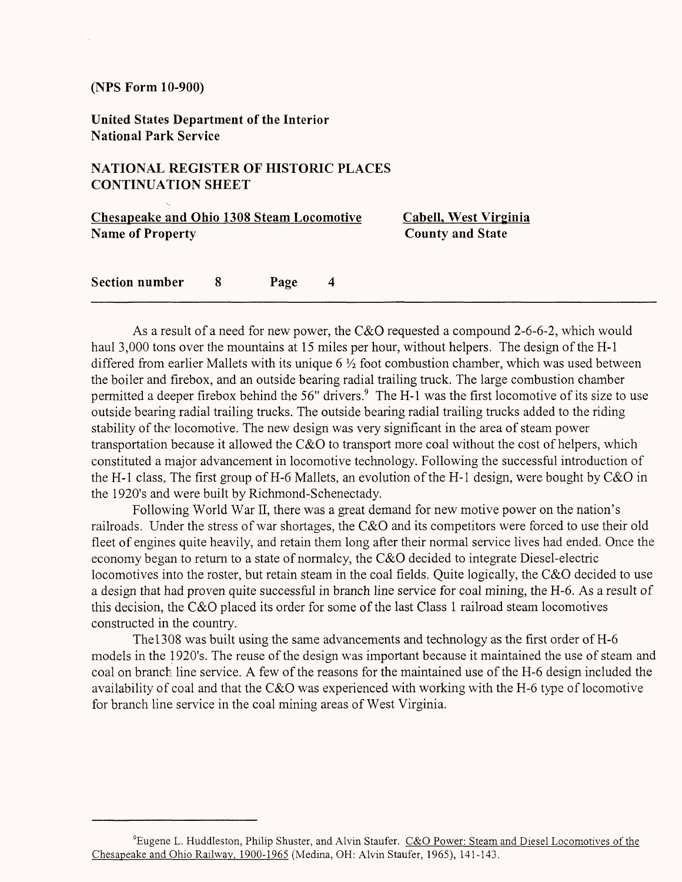**United States Department of the Interior National Park Service**

#### **NATIONAL REGISTER OF HISTORIC PLACES CONTINUATION SHEET**

| <b>Chesapeake and Ohio 1308 Steam Locomotive</b> |    |      |                | Cabell, West Virginia   |  |
|--------------------------------------------------|----|------|----------------|-------------------------|--|
| <b>Name of Property</b>                          |    |      |                | <b>County and State</b> |  |
|                                                  |    |      |                |                         |  |
| <b>Section number</b>                            | -8 | Page | $\overline{4}$ |                         |  |

As a result of a need for new power, the C&O requested a compound 2-6-6-2, which would haul 3,000 tons over the mountains at 15 miles per hour, without helpers. The design of the H-l differed from earlier Mallets with its unique 6  $\frac{1}{2}$  foot combustion chamber, which was used between the boiler and firebox, and an outside bearing radial trailing truck. The large combustion chamber permitted a deeper firebox behind the 56" drivers.<sup>9</sup> The H-1 was the first locomotive of its size to use outside bearing radial trailing trucks. The outside bearing radial trailing trucks added to the riding stability of the; locomotive. The new design was very significant in the area of steam power transportation because it allowed the C&O to transport more coal without the cost of helpers, which constituted a major advancement in locomotive technology. Following the successful introduction of the H-l class, The first group of H-6 Mallets, an evolution of the H-l design, were bought by C&O in the 1920's and were built by Richmond-Schenectady.

Following World War II, there was a great demand for new motive power on the nation's railroads. Under the stress of war shortages, the C&O and its competitors were forced to use their old fleet of engines quite heavily, and retain them long after their normal service lives had ended. Once the economy began to return to a state of normalcy, the C&O decided to integrate Diesel-electric locomotives into the roster, but retain steam in the coal fields. Quite logically, the C&O decided to use a design that had proven quite successful in branch line service for coal mining, the H-6. As a result of this decision, the C&O placed its order for some of the last Class 1 railroad steam locomotives constructed in the country.

Thel308 was built using the same advancements and technology as the first order of H-6 models in the 1920's. The reuse of the design was important because it maintained the use of steam and coal on branch line service. A few of the reasons for the maintained use of the H-6 design included the availability of coal and that the C&O was experienced with working with the H-6 type of locomotive for branch line service in the coal mining areas of West Virginia.

<sup>&</sup>lt;sup>9</sup>Eugene L. Huddleston, Philip Shuster, and Alvin Staufer. C&O Power: Steam and Diesel Locomotives of the Chesapeake and Ohio Railway, 1900-1965 (Medina, OH: Alvin Staufer, 1965), 141-143.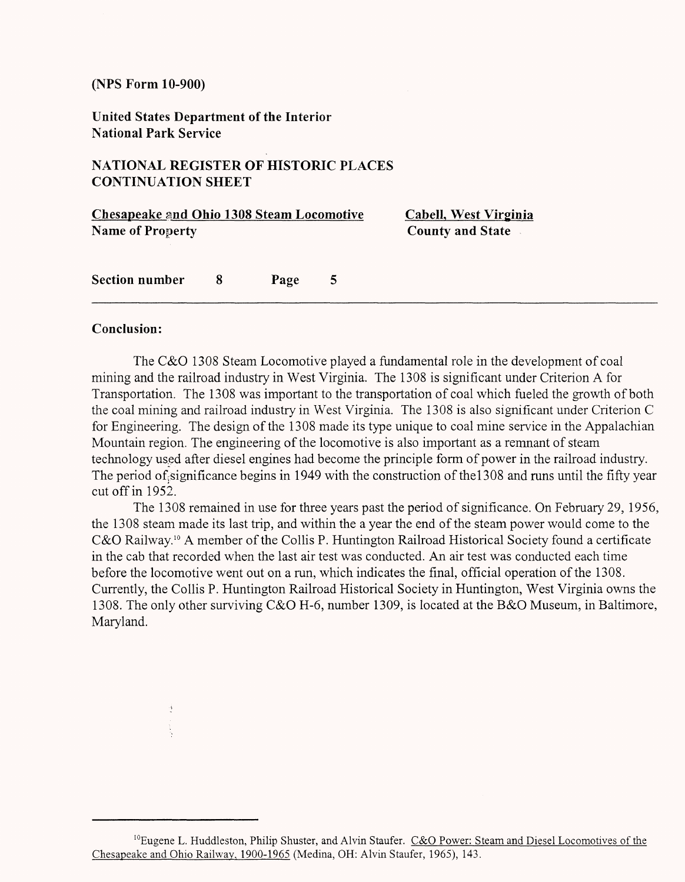**United States Department of the Interior National Park Service**

#### **NATIONAL REGISTER OF HISTORIC PLACES CONTINUATION SHEET**

| <b>Chesapeake and Ohio 1308 Steam Locomotive</b> |    |      |   | Cabell, West Virginia   |
|--------------------------------------------------|----|------|---|-------------------------|
| <b>Name of Property</b>                          |    |      |   | <b>County and State</b> |
| <b>Section number</b>                            | -8 | Page | 5 |                         |

#### **Conclusion:**

The C&O 1308 Steam Locomotive played a fundamental role in the development of coal mining and the railroad industry in West Virginia. The 1308 is significant under Criterion A for Transportation. The 1308 was important to the transportation of coal which fueled the growth of both the coal mining and railroad industry in West Virginia. The 1308 is also significant under Criterion C for Engineering. The design of the 1308 made its type unique to coal mine service in the Appalachian Mountain region. The engineering of the locomotive is also important as a remnant of steam technology used after diesel engines had become the principle form of power in the railroad industry. The period of significance begins in 1949 with the construction of the  $1308$  and runs until the fifty year cut off in 1952.

The 1308 remained in use for three years past the period of significance. On February 29, 1956, the 1308 steam made its last trip, and within the a year the end of the steam power would come to the C&O Railway.<sup>10</sup> A member of the Collis P. Huntington Railroad Historical Society found a certificate in the cab that recorded when the last air test was conducted. An air test was conducted each time before the locomotive went out on a run, which indicates the final, official operation of the 1308. Currently, the Collis P. Huntington Railroad Historical Society in Huntington, West Virginia owns the 1308. The only other surviving C&O H-6, number 1309, is located at the B&O Museum, in Baltimore, Maryland.

 $10E$ ugene L. Huddleston, Philip Shuster, and Alvin Staufer. C&O Power: Steam and Diesel Locomotives of the Chesapeake and Ohio Railway. 1900-1965 (Medina, OH: Alvin Staufer, 1965), 143.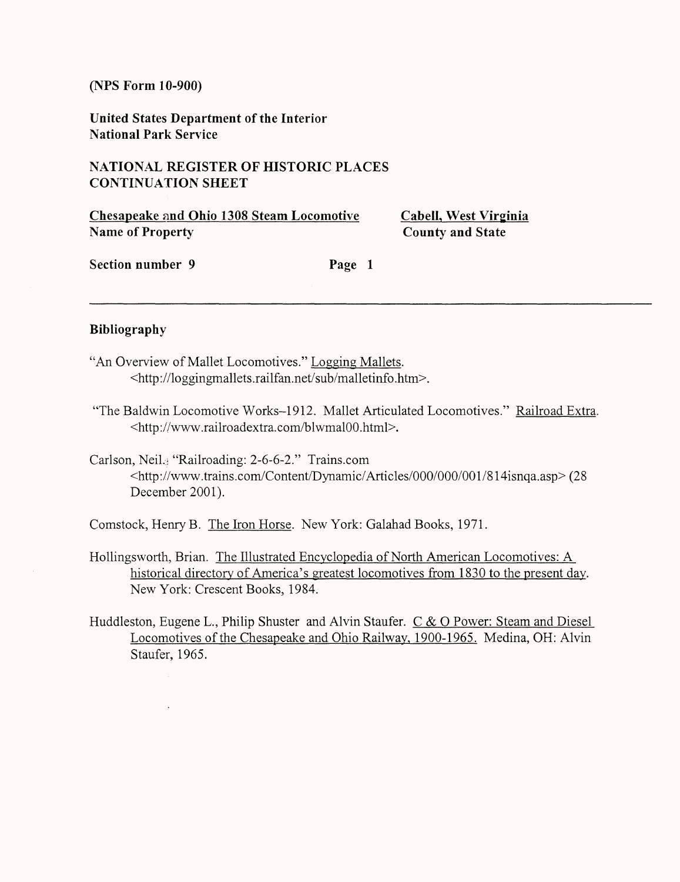**United States Department of the Interior National Park Service**

#### **NATIONAL REGISTER OF HISTORIC PLACES CONTINUATION SHEET**

**Chesapeake and Ohio 1308 Steam Locomotive Cabell, West Virginia Name of Property** County and State

Section number 9 Page 1

#### **Bibliography**

- "An Overview of Mallet Locomotives." Logging Mallets. <http://loggingmallets.railfan.net/sub/malletinfo.htm>.
- "The Baldwin Locomotive Works-1912. Mallet Articulated Locomotives." Railroad Extra. <http://www.railroadextra.com/blwmalOO.html>.
- Carlson, Neil.; "Railroading: 2-6-6-2." Trains.com <http://www.trains.com/Content/Dynamic/Articles/000/000/001/814isnqa.asp> (28 December 2001).

Comstock, Henry B. The Iron Horse. New York: Galahad Books, 1971.

- Hollingsworth, Brian. The Illustrated Encyclopedia of North American Locomotives: A historical directory of America's greatest locomotives from 1830 to the present day. New York: Crescent Books, 1984.
- Huddleston, Eugene L., Philip Shuster and Alvin Staufer. C & O Power: Steam and Diesel Locomotives of the Chesapeake and Ohio Railway, 1900-1965. Medina, OH: Alvin Staufer, 1965.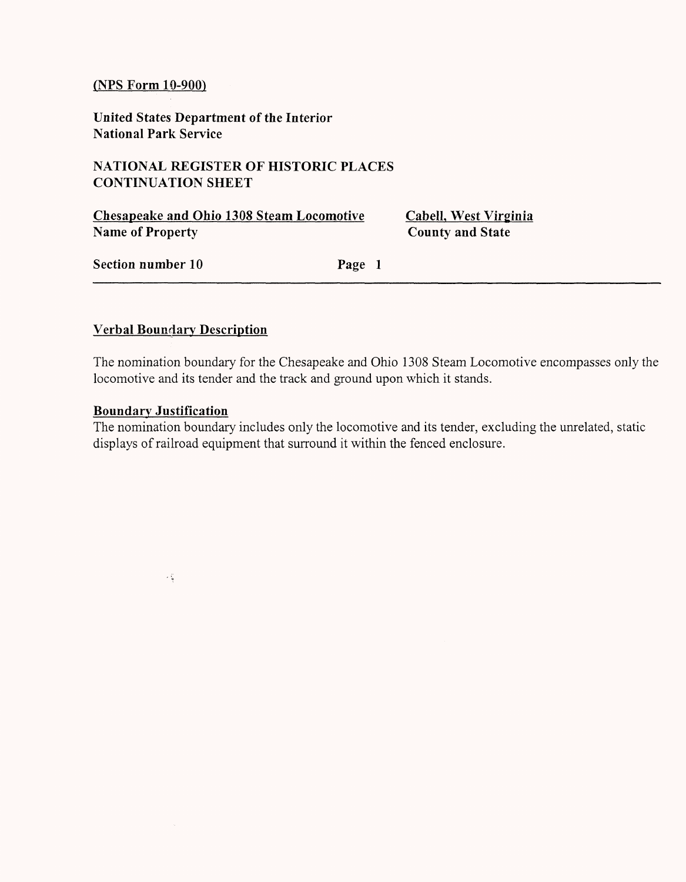**United States Department of the Interior National Park Service**

#### **NATIONAL REGISTER OF HISTORIC PLACES CONTINUATION SHEET**

**Chesapeake and Ohio 1308 Steam Locomotive CabelL West Virginia Name of Property** County and State

**Section number 10 Page 1** 

#### **Verbal Boundary Description**

The nomination boundary for the Chesapeake and Ohio 1308 Steam Locomotive encompasses only the locomotive and its tender and the track and ground upon which it stands.

#### **Boundary Justification**

 $\sim \zeta$ 

The nomination boundary includes only the locomotive and its tender, excluding the unrelated, static displays of railroad equipment that surround it within the fenced enclosure.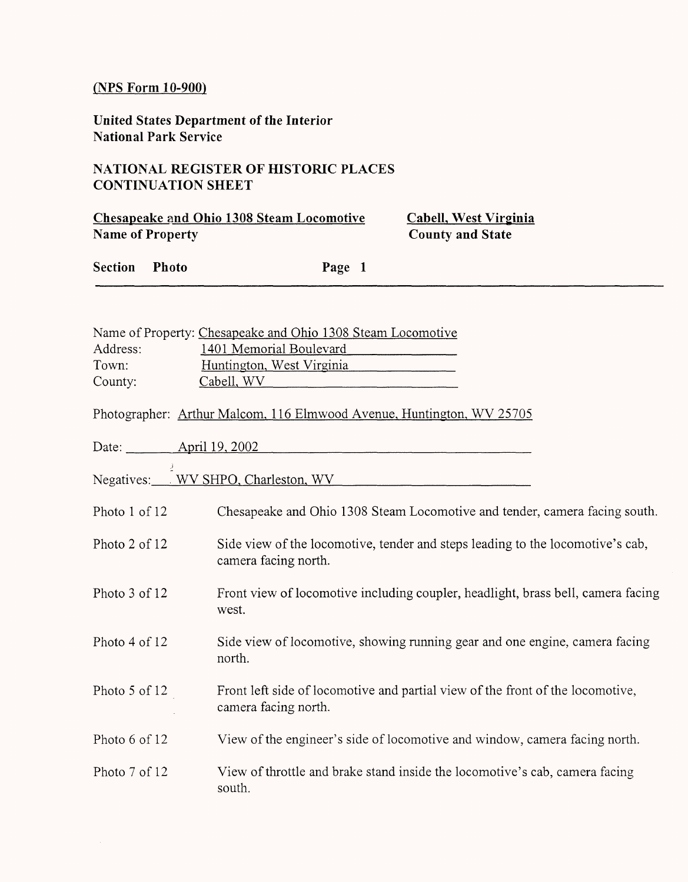**United States Department of the Interior National Park Service**

#### **NATIONAL REGISTER OF HISTORIC PLACES CONTINUATION SHEET**

**Chesapeake and Ohio 1308 Steam Locomotive CabelL West Virginia Name of Property** County and State

**Section Photo Page 1**

|          | Name of Property: Chesapeake and Ohio 1308 Steam Locomotive           |
|----------|-----------------------------------------------------------------------|
| Address: | 1401 Memorial Boulevard                                               |
| Town:    | Huntington, West Virginia                                             |
| County:  | Cabell, WV                                                            |
|          | Photographer: Arthur Malcom, 116 Elmwood Avenue, Huntington, WV 25705 |
| Date:    | <u>April 19, 2002</u>                                                 |

.; Negatives: WV SHPO, Charleston, WV

| Chesapeake and Ohio 1308 Steam Locomotive and tender, camera facing south. | Photo 1 of 12 |  |  |  |  |
|----------------------------------------------------------------------------|---------------|--|--|--|--|
|----------------------------------------------------------------------------|---------------|--|--|--|--|

- Photo 2 of 12 Side view of the locomotive, tender and steps leading to the locomotive's cab, camera facing north.
- Photo 3 of 12 Front view of locomotive including coupler, headlight, brass bell, camera facing west.
- Photo 4 of 12 Side view of locomotive, showing running gear and one engine, camera facing north.
- Photo 5 of 12 Front left side of locomotive and partial view of the front of the locomotive, camera facing north.
- Photo 6 of 12 View of the engineer's side of locomotive and window, camera facing north.
- Photo 7 of 12 View of throttle and brake stand inside the locomotive's cab, camera facing south.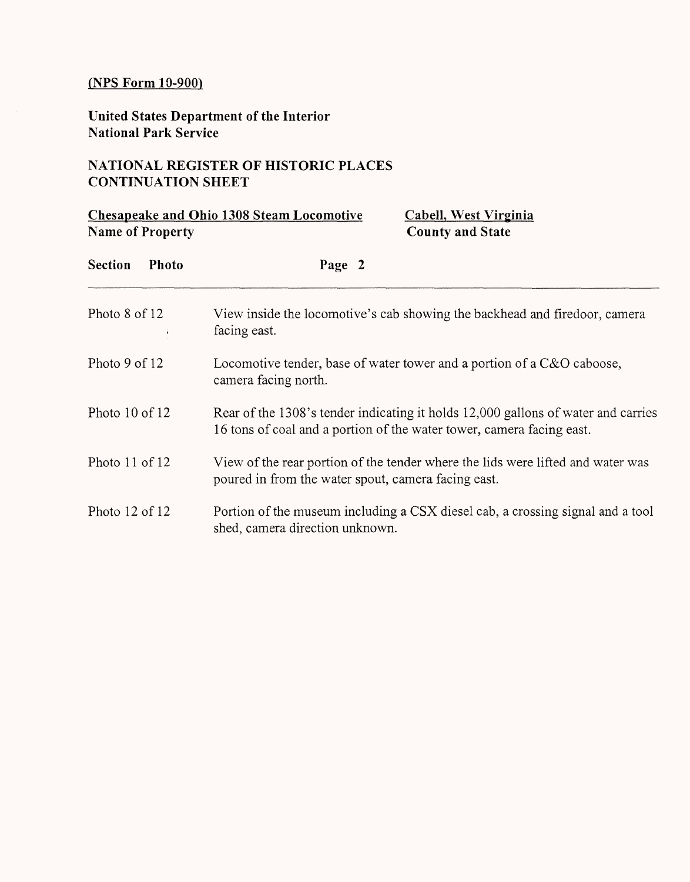**United States Department of the Interior National Park Service**

### **NATIONAL REGISTER OF HISTORIC PLACES CONTINUATION SHEET**

|                    | <b>Name of Property</b> | Chesapeake and Ohio 1308 Steam Locomotive                                                                                                                  | <b>Cabell, West Virginia</b><br><b>County and State</b>                        |  |  |  |
|--------------------|-------------------------|------------------------------------------------------------------------------------------------------------------------------------------------------------|--------------------------------------------------------------------------------|--|--|--|
| <b>Section</b>     | <b>Photo</b>            | Page 2                                                                                                                                                     |                                                                                |  |  |  |
| Photo 8 of 12      |                         | facing east.                                                                                                                                               | View inside the locomotive's cab showing the backhead and firedoor, camera     |  |  |  |
| Photo 9 of 12      |                         | camera facing north.                                                                                                                                       | Locomotive tender, base of water tower and a portion of a C&O caboose,         |  |  |  |
| Photo $10$ of $12$ |                         | Rear of the 1308's tender indicating it holds 12,000 gallons of water and carries<br>16 tons of coal and a portion of the water tower, camera facing east. |                                                                                |  |  |  |
| Photo $11$ of $12$ |                         | View of the rear portion of the tender where the lids were lifted and water was<br>poured in from the water spout, camera facing east.                     |                                                                                |  |  |  |
| Photo 12 of 12     |                         | shed, camera direction unknown.                                                                                                                            | Portion of the museum including a CSX diesel cab, a crossing signal and a tool |  |  |  |